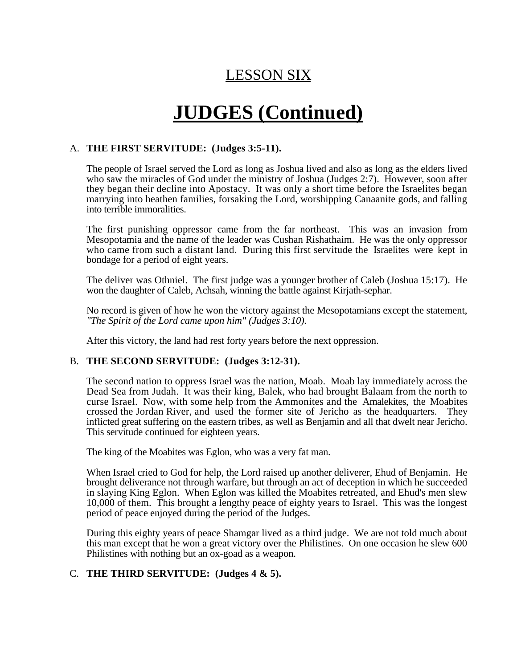# LESSON SIX

# **JUDGES (Continued)**

## A. **THE FIRST SERVITUDE: (Judges 3:5-11).**

The people of Israel served the Lord as long as Joshua lived and also as long as the elders lived who saw the miracles of God under the ministry of Joshua (Judges 2:7). However, soon after they began their decline into Apostacy. It was only a short time before the Israelites began marrying into heathen families, forsaking the Lord, worshipping Canaanite gods, and falling into terrible immoralities.

The first punishing oppressor came from the far northeast. This was an invasion from Mesopotamia and the name of the leader was Cushan Rishathaim. He was the only oppressor who came from such a distant land. During this first servitude the Israelites were kept in bondage for a period of eight years.

The deliver was Othniel. The first judge was a younger brother of Caleb (Joshua 15:17). He won the daughter of Caleb, Achsah, winning the battle against Kirjath-sephar.

No record is given of how he won the victory against the Mesopotamians except the statement, *"The Spirit of the Lord came upon him" (Judges 3:10).*

After this victory, the land had rest forty years before the next oppression.

## B. **THE SECOND SERVITUDE: (Judges 3:12-31).**

The second nation to oppress Israel was the nation, Moab. Moab lay immediately across the Dead Sea from Judah. It was their king, Balek, who had brought Balaam from the north to curse Israel. Now, with some help from the Ammonites and the Amalekites, the Moabites crossed the Jordan River, and used the former site of Jericho as the headquarters. They inflicted great suffering on the eastern tribes, as well as Benjamin and all that dwelt near Jericho. This servitude continued for eighteen years.

The king of the Moabites was Eglon, who was a very fat man.

When Israel cried to God for help, the Lord raised up another deliverer, Ehud of Benjamin. He brought deliverance not through warfare, but through an act of deception in which he succeeded in slaying King Eglon. When Eglon was killed the Moabites retreated, and Ehud's men slew 10,000 of them. This brought a lengthy peace of eighty years to Israel. This was the longest period of peace enjoyed during the period of the Judges.

During this eighty years of peace Shamgar lived as a third judge. We are not told much about this man except that he won a great victory over the Philistines. On one occasion he slew 600 Philistines with nothing but an ox-goad as a weapon.

## C. **THE THIRD SERVITUDE: (Judges 4 & 5).**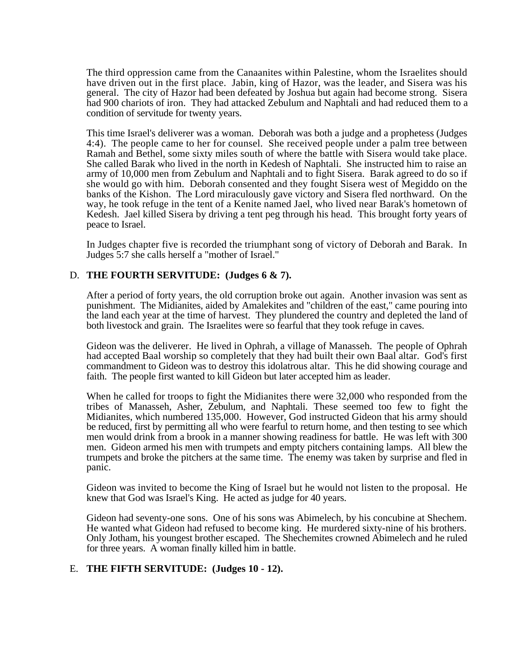The third oppression came from the Canaanites within Palestine, whom the Israelites should have driven out in the first place. Jabin, king of Hazor, was the leader, and Sisera was his general. The city of Hazor had been defeated by Joshua but again had become strong. Sisera had 900 chariots of iron. They had attacked Zebulum and Naphtali and had reduced them to a condition of servitude for twenty years.

This time Israel's deliverer was a woman. Deborah was both a judge and a prophetess (Judges 4:4). The people came to her for counsel. She received people under a palm tree between Ramah and Bethel, some sixty miles south of where the battle with Sisera would take place. She called Barak who lived in the north in Kedesh of Naphtali. She instructed him to raise an army of 10,000 men from Zebulum and Naphtali and to fight Sisera. Barak agreed to do so if she would go with him. Deborah consented and they fought Sisera west of Megiddo on the banks of the Kishon. The Lord miraculously gave victory and Sisera fled northward. On the way, he took refuge in the tent of a Kenite named Jael, who lived near Barak's hometown of Kedesh. Jael killed Sisera by driving a tent peg through his head. This brought forty years of peace to Israel.

In Judges chapter five is recorded the triumphant song of victory of Deborah and Barak. In Judges 5:7 she calls herself a "mother of Israel."

#### D. **THE FOURTH SERVITUDE: (Judges 6 & 7).**

After a period of forty years, the old corruption broke out again. Another invasion was sent as punishment. The Midianites, aided by Amalekites and "children of the east," came pouring into the land each year at the time of harvest. They plundered the country and depleted the land of both livestock and grain. The Israelites were so fearful that they took refuge in caves.

Gideon was the deliverer. He lived in Ophrah, a village of Manasseh. The people of Ophrah had accepted Baal worship so completely that they had built their own Baal altar. God's first commandment to Gideon was to destroy this idolatrous altar. This he did showing courage and faith. The people first wanted to kill Gideon but later accepted him as leader.

When he called for troops to fight the Midianites there were 32,000 who responded from the tribes of Manasseh, Asher, Zebulum, and Naphtali. These seemed too few to fight the Midianites, which numbered 135,000. However, God instructed Gideon that his army should be reduced, first by permitting all who were fearful to return home, and then testing to see which men would drink from a brook in a manner showing readiness for battle. He was left with 300 men. Gideon armed his men with trumpets and empty pitchers containing lamps. All blew the trumpets and broke the pitchers at the same time. The enemy was taken by surprise and fled in panic.

Gideon was invited to become the King of Israel but he would not listen to the proposal. He knew that God was Israel's King. He acted as judge for 40 years.

Gideon had seventy-one sons. One of his sons was Abimelech, by his concubine at Shechem. He wanted what Gideon had refused to become king. He murdered sixty-nine of his brothers. Only Jotham, his youngest brother escaped. The Shechemites crowned Abimelech and he ruled for three years. A woman finally killed him in battle.

#### E. **THE FIFTH SERVITUDE: (Judges 10 - 12).**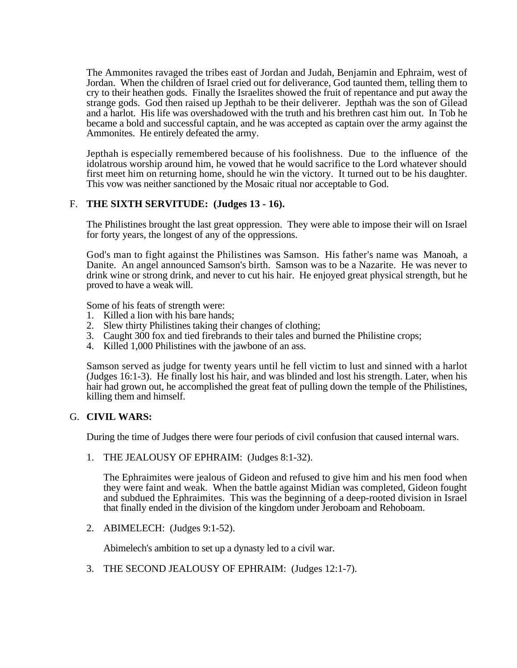The Ammonites ravaged the tribes east of Jordan and Judah, Benjamin and Ephraim, west of Jordan. When the children of Israel cried out for deliverance, God taunted them, telling them to cry to their heathen gods. Finally the Israelites showed the fruit of repentance and put away the strange gods. God then raised up Jepthah to be their deliverer. Jepthah was the son of Gilead and a harlot. His life was overshadowed with the truth and his brethren cast him out. In Tob he became a bold and successful captain, and he was accepted as captain over the army against the Ammonites. He entirely defeated the army.

Jepthah is especially remembered because of his foolishness. Due to the influence of the idolatrous worship around him, he vowed that he would sacrifice to the Lord whatever should first meet him on returning home, should he win the victory. It turned out to be his daughter. This vow was neither sanctioned by the Mosaic ritual nor acceptable to God.

# F. **THE SIXTH SERVITUDE: (Judges 13 - 16).**

The Philistines brought the last great oppression. They were able to impose their will on Israel for forty years, the longest of any of the oppressions.

God's man to fight against the Philistines was Samson. His father's name was Manoah, a Danite. An angel announced Samson's birth. Samson was to be a Nazarite. He was never to drink wine or strong drink, and never to cut his hair. He enjoyed great physical strength, but he proved to have a weak will.

Some of his feats of strength were:

- 1. Killed a lion with his bare hands;
- 2. Slew thirty Philistines taking their changes of clothing;
- 3. Caught 300 fox and tied firebrands to their tales and burned the Philistine crops;
- 4. Killed 1,000 Philistines with the jawbone of an ass.

Samson served as judge for twenty years until he fell victim to lust and sinned with a harlot (Judges 16:1-3). He finally lost his hair, and was blinded and lost his strength. Later, when his hair had grown out, he accomplished the great feat of pulling down the temple of the Philistines, killing them and himself.

## G. **CIVIL WARS:**

During the time of Judges there were four periods of civil confusion that caused internal wars.

1. THE JEALOUSY OF EPHRAIM: (Judges 8:1-32).

The Ephraimites were jealous of Gideon and refused to give him and his men food when they were faint and weak. When the battle against Midian was completed, Gideon fought and subdued the Ephraimites. This was the beginning of a deep-rooted division in Israel that finally ended in the division of the kingdom under Jeroboam and Rehoboam.

2. ABIMELECH: (Judges 9:1-52).

Abimelech's ambition to set up a dynasty led to a civil war.

3. THE SECOND JEALOUSY OF EPHRAIM: (Judges 12:1-7).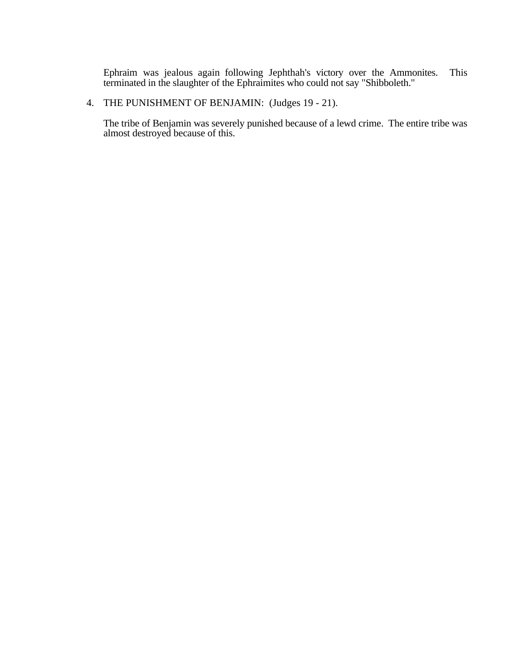Ephraim was jealous again following Jephthah's victory over the Ammonites. This terminated in the slaughter of the Ephraimites who could not say "Shibboleth."

# 4. THE PUNISHMENT OF BENJAMIN: (Judges 19 - 21).

The tribe of Benjamin was severely punished because of a lewd crime. The entire tribe was almost destroyed because of this.